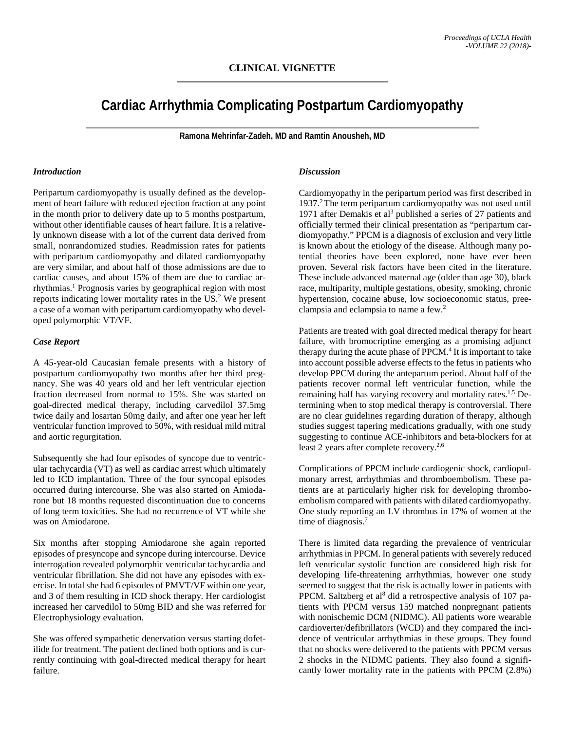## **CLINICAL VIGNETTE**

# **Cardiac Arrhythmia Complicating Postpartum Cardiomyopathy**

**Ramona Mehrinfar-Zadeh, MD and Ramtin Anousheh, MD**

#### *Introduction*

Peripartum cardiomyopathy is usually defined as the development of heart failure with reduced ejection fraction at any point in the month prior to delivery date up to 5 months postpartum, without other identifiable causes of heart failure. It is a relatively unknown disease with a lot of the current data derived from small, nonrandomized studies. Readmission rates for patients with peripartum cardiomyopathy and dilated cardiomyopathy are very similar, and about half of those admissions are due to cardiac causes, and about 15% of them are due to cardiac arrhythmias. <sup>1</sup> Prognosis varies by geographical region with most reports indicating lower mortality rates in the US. <sup>2</sup> We present a case of a woman with peripartum cardiomyopathy who developed polymorphic VT/VF.

#### *Case Report*

A 45-year-old Caucasian female presents with a history of postpartum cardiomyopathy two months after her third pregnancy. She was 40 years old and her left ventricular ejection fraction decreased from normal to 15%. She was started on goal-directed medical therapy, including carvedilol 37.5mg twice daily and losartan 50mg daily, and after one year her left ventricular function improved to 50%, with residual mild mitral and aortic regurgitation.

Subsequently she had four episodes of syncope due to ventricular tachycardia (VT) as well as cardiac arrest which ultimately led to ICD implantation. Three of the four syncopal episodes occurred during intercourse. She was also started on Amiodarone but 18 months requested discontinuation due to concerns of long term toxicities. She had no recurrence of VT while she was on Amiodarone.

Six months after stopping Amiodarone she again reported episodes of presyncope and syncope during intercourse. Device interrogation revealed polymorphic ventricular tachycardia and ventricular fibrillation. She did not have any episodes with exercise. In total she had 6 episodes of PMVT/VF within one year, and 3 of them resulting in ICD shock therapy. Her cardiologist increased her carvedilol to 50mg BID and she was referred for Electrophysiology evaluation.

She was offered sympathetic denervation versus starting dofetilide for treatment. The patient declined both options and is currently continuing with goal-directed medical therapy for heart failure.

#### *Discussion*

Cardiomyopathy in the peripartum period was first described in 1937. 2The term peripartum cardiomyopathy was not used until 1971 after Demakis et al<sup>3</sup> published a series of 27 patients and officially termed their clinical presentation as "peripartum cardiomyopathy." PPCM is a diagnosis of exclusion and very little is known about the etiology of the disease. Although many potential theories have been explored, none have ever been proven. Several risk factors have been cited in the literature. These include advanced maternal age (older than age 30), black race, multiparity, multiple gestations, obesity, smoking, chronic hypertension, cocaine abuse, low socioeconomic status, preeclampsia and eclampsia to name a few.2

Patients are treated with goal directed medical therapy for heart failure, with bromocriptine emerging as a promising adjunct therapy during the acute phase of  $PPCM<sup>4</sup>$  It is important to take into account possible adverse effects to the fetus in patients who develop PPCM during the antepartum period. About half of the patients recover normal left ventricular function, while the remaining half has varying recovery and mortality rates.<sup>1,5</sup> Determining when to stop medical therapy is controversial. There are no clear guidelines regarding duration of therapy, although studies suggest tapering medications gradually, with one study suggesting to continue ACE-inhibitors and beta-blockers for at least 2 years after complete recovery.<sup>2,6</sup>

Complications of PPCM include cardiogenic shock, cardiopulmonary arrest, arrhythmias and thromboembolism. These patients are at particularly higher risk for developing thromboembolism compared with patients with dilated cardiomyopathy. One study reporting an LV thrombus in 17% of women at the time of diagnosis.<sup>7</sup>

There is limited data regarding the prevalence of ventricular arrhythmias in PPCM. In general patients with severely reduced left ventricular systolic function are considered high risk for developing life-threatening arrhythmias, however one study seemed to suggest that the risk is actually lower in patients with PPCM. Saltzberg et al<sup>8</sup> did a retrospective analysis of 107 patients with PPCM versus 159 matched nonpregnant patients with nonischemic DCM (NIDMC). All patients wore wearable cardioverter/defibrillators (WCD) and they compared the incidence of ventricular arrhythmias in these groups. They found that no shocks were delivered to the patients with PPCM versus 2 shocks in the NIDMC patients. They also found a significantly lower mortality rate in the patients with PPCM (2.8%)